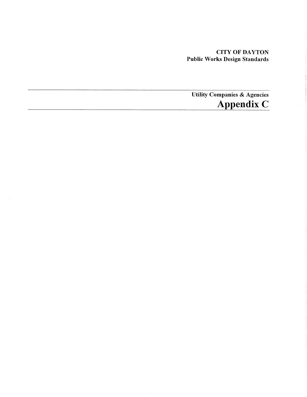## CITY OF DAYTON Public Works Design Standards

## Utility Companies & Agencies Appendix C

 $\bar{\mathcal{A}}$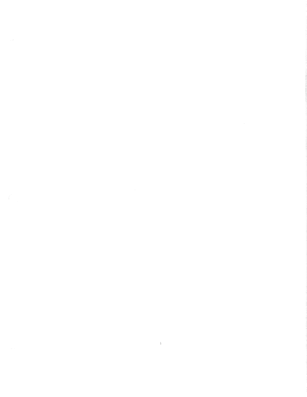$\label{eq:1} \mathcal{A} = \mathcal{A} \times \mathcal{A}$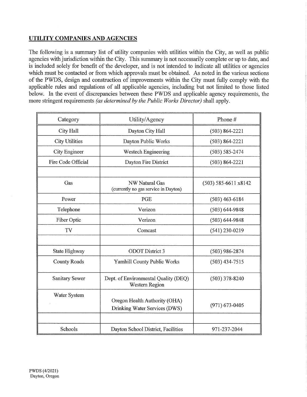## **UTILITY COMPANIES AND AGENCIES**

The following is a summary list of utility companies with utilities within the City, as well as public agencies with jurisdiction within the City. This summary is not necessarily complete or up to date, and is included solely for benefit of the developer, and is not intended to indicate all utilities or agencies which must be contacted or from which approvals must be obtained. As noted in the various sections of the PWDS, design and construction of improvements within the City must fully comply with the applicable rules and regulations of all applicable agencies, including but not limited to those listed below. In the event of discrepancies between these PWDS and applicable agency requirements, the more stringent requirements *(as determined by the Public Works Director)* shall apply.

| Category              | Utility/Agency                                                 | Phone#                 |
|-----------------------|----------------------------------------------------------------|------------------------|
| City Hall             | Dayton City Hall                                               | $(503) 864 - 2221$     |
| <b>City Utilities</b> | Dayton Public Works                                            | $(503) 864 - 2221$     |
| <b>City Engineer</b>  | <b>Westech Engineering</b>                                     | $(503) 585 - 2474$     |
| Fire Code Official    | Dayton Fire District                                           | $(503) 864 - 2221$     |
|                       |                                                                |                        |
| Gas                   | NW Natural Gas<br>(currently no gas service in Dayton)         | $(503)$ 585-6611 x8142 |
| Power                 | PGE                                                            | $(503)$ 463-6184       |
| Telephone             | Verizon                                                        | $(503) 644 - 9848$     |
| Fiber Optic           | Verizon                                                        | $(503) 644 - 9848$     |
| TV                    | Comcast                                                        | $(541)$ 230-0219       |
|                       |                                                                |                        |
| State Highway         | <b>ODOT</b> District 3                                         | $(503)$ 986-2874       |
| <b>County Roads</b>   | Yamhill County Public Works                                    | $(503)$ 434-7515       |
| <b>Sanitary Sewer</b> | Dept. of Environmental Quality (DEQ)<br><b>Western Region</b>  | $(503)$ 378-8240       |
| Water System          | Oregon Health Authority (OHA)<br>Drinking Water Services (DWS) | $(971)$ 673-0405       |
|                       |                                                                |                        |
| Schools               | Dayton School District, Facilities                             | 971-237-2044           |